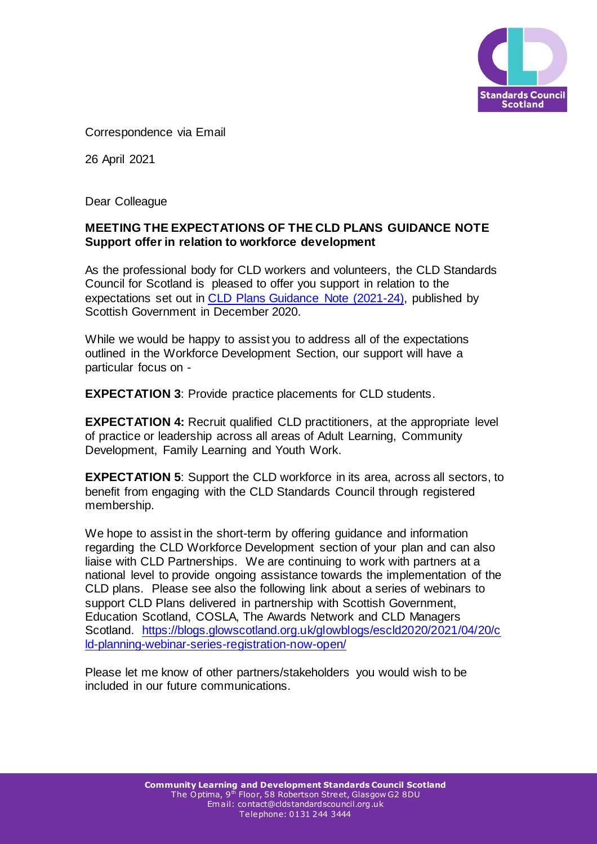

Correspondence via Email

26 April 2021

Dear Colleague

## **MEETING THE EXPECTATIONS OF THE CLD PLANS GUIDANCE NOTE Support offer in relation to workforce development**

As the professional body for CLD workers and volunteers, the CLD Standards Council for Scotland is pleased to offer you support in relation to the expectations set out in [CLD Plans Guidance Note \(2021-24\),](https://www.gov.scot/publications/cld-plans-guidance-note/pages/5/) published by Scottish Government in December 2020.

While we would be happy to assist you to address all of the expectations outlined in the Workforce Development Section, our support will have a particular focus on -

**EXPECTATION 3**: Provide practice placements for CLD students.

**EXPECTATION 4:** Recruit qualified CLD practitioners, at the appropriate level of practice or leadership across all areas of Adult Learning, Community Development, Family Learning and Youth Work.

**EXPECTATION 5:** Support the CLD workforce in its area, across all sectors, to benefit from engaging with the CLD Standards Council through registered membership.

We hope to assist in the short-term by offering guidance and information regarding the CLD Workforce Development section of your plan and can also liaise with CLD Partnerships. We are continuing to work with partners at a national level to provide ongoing assistance towards the implementation of the CLD plans. Please see also the following link about a series of webinars to support CLD Plans delivered in partnership with Scottish Government, Education Scotland, COSLA, The Awards Network and CLD Managers Scotland. [https://blogs.glowscotland.org.uk/glowblogs/escld2020/2021/04/20/c](https://blogs.glowscotland.org.uk/glowblogs/escld2020/2021/04/20/cld-planning-webinar-series-registration-now-open/) [ld-planning-webinar-series-registration-now-open/](https://blogs.glowscotland.org.uk/glowblogs/escld2020/2021/04/20/cld-planning-webinar-series-registration-now-open/)

Please let me know of other partners/stakeholders you would wish to be included in our future communications.